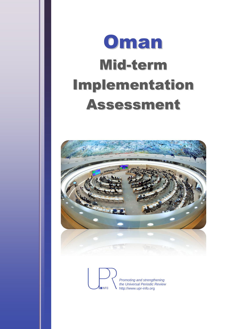# **Oman** Mid-term Implementation Assessment



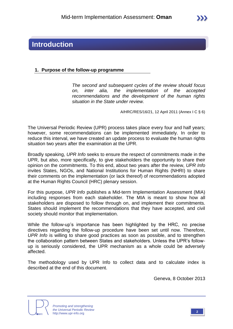## **Introduction**

#### **1. Purpose of the follow-up programme**

*The second and subsequent cycles of the review should focus on, inter alia, the implementation of the accepted recommendations and the development of the human rights situation in the State under review.*

A/HRC/RES/16/21, 12 April 2011 (Annex I C § 6)

The Universal Periodic Review (UPR) process takes place every four and half years; however, some recommendations can be implemented immediately. In order to reduce this interval, we have created an update process to evaluate the human rights situation two years after the examination at the UPR.

Broadly speaking, *UPR Info* seeks to ensure the respect of commitments made in the UPR, but also, more specifically, to give stakeholders the opportunity to share their opinion on the commitments. To this end, about two years after the review, *UPR Info* invites States, NGOs, and National Institutions for Human Rights (NHRI) to share their comments on the implementation (or lack thereof) of recommendations adopted at the Human Rights Council (HRC) plenary session.

For this purpose, *UPR Info* publishes a Mid-term Implementation Assessment (MIA) including responses from each stakeholder. The MIA is meant to show how all stakeholders are disposed to follow through on, and implement their commitments. States should implement the recommendations that they have accepted, and civil society should monitor that implementation.

While the follow-up's importance has been highlighted by the HRC, no precise directives regarding the follow-up procedure have been set until now. Therefore, *UPR Info* is willing to share good practices as soon as possible, and to strengthen the collaboration pattern between States and stakeholders. Unless the UPR's followup is seriously considered, the UPR mechanism as a whole could be adversely affected.

The methodology used by UPR Info to collect data and to calculate index is described at the end of this document.

Geneva, 8 October 2013



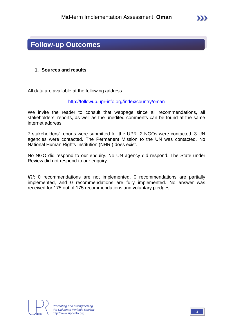### **Follow-up Outcomes**

#### **1. Sources and results**

All data are available at the following address:

<http://followup.upr-info.org/index/country/oman>

We invite the reader to consult that webpage since all recommendations, all stakeholders' reports, as well as the unedited comments can be found at the same internet address.

7 stakeholders' reports were submitted for the UPR. 2 NGOs were contacted. 3 UN agencies were contacted. The Permanent Mission to the UN was contacted. No National Human Rights Institution (NHRI) does exist.

No NGO did respond to our enquiry. No UN agency did respond. The State under Review did not respond to our enquiry.

*IRI*: 0 recommendations are not implemented, 0 recommendations are partially implemented, and 0 recommendations are fully implemented. No answer was received for 175 out of 175 recommendations and voluntary pledges.



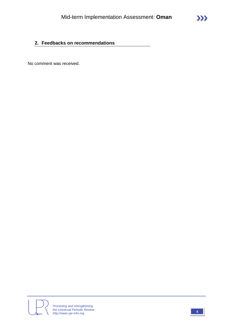#### **2. Feedbacks on recommendations**

No comment was received.



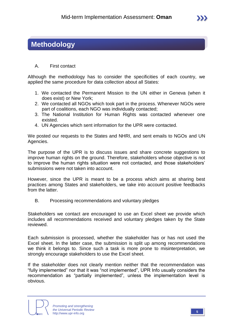## **Methodology**

#### A. First contact

Although the methodology has to consider the specificities of each country, we applied the same procedure for data collection about all States:

- 1. We contacted the Permanent Mission to the UN either in Geneva (when it does exist) or New York;
- 2. We contacted all NGOs which took part in the process. Whenever NGOs were part of coalitions, each NGO was individually contacted;
- 3. The National Institution for Human Rights was contacted whenever one existed.
- 4. UN Agencies which sent information for the UPR were contacted.

We posted our requests to the States and NHRI, and sent emails to NGOs and UN Agencies.

The purpose of the UPR is to discuss issues and share concrete suggestions to improve human rights on the ground. Therefore, stakeholders whose objective is not to improve the human rights situation were not contacted, and those stakeholders' submissions were not taken into account.

However, since the UPR is meant to be a process which aims at sharing best practices among States and stakeholders, we take into account positive feedbacks from the latter.

B. Processing recommendations and voluntary pledges

Stakeholders we contact are encouraged to use an Excel sheet we provide which includes all recommendations received and voluntary pledges taken by the State reviewed.

Each submission is processed, whether the stakeholder has or has not used the Excel sheet. In the latter case, the submission is split up among recommendations we think it belongs to. Since such a task is more prone to misinterpretation, we strongly encourage stakeholders to use the Excel sheet.

If the stakeholder does not clearly mention neither that the recommendation was "fully implemented" nor that it was "not implemented", UPR Info usually considers the recommendation as "partially implemented", unless the implementation level is obvious.



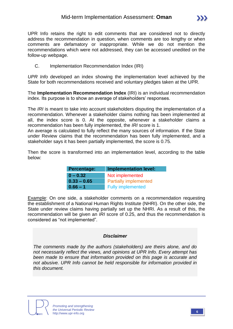UPR Info retains the right to edit comments that are considered not to directly address the recommendation in question, when comments are too lengthy or when comments are defamatory or inappropriate. While we do not mention the recommendations which were not addressed, they can be accessed unedited on the follow-up webpage.

C. Implementation Recommendation Index (IRI)

*UPR Info* developed an index showing the implementation level achieved by the State for both recommendations received and voluntary pledges taken at the UPR.

The **Implementation Recommendation Index** (IRI) is an individual recommendation index. Its purpose is to show an average of stakeholders' responses.

The *IRI* is meant to take into account stakeholders disputing the implementation of a recommendation. Whenever a stakeholder claims nothing has been implemented at all, the index score is 0. At the opposite, whenever a stakeholder claims a recommendation has been fully implemented, the *IRI* score is 1.

An average is calculated to fully reflect the many sources of information. If the State under Review claims that the recommendation has been fully implemented, and a stakeholder says it has been partially implemented, the score is 0.75.

Then the score is transformed into an implementation level, according to the table below:

| <b>Percentage:</b> | <b>Implementation level:</b> |
|--------------------|------------------------------|
| $0 - 0.32$         | Not implemented              |
| $0.33 - 0.65$      | <b>Partially implemented</b> |
| $0.66 - 1$         | <b>Fully implemented</b>     |

Example: On one side, a stakeholder comments on a recommendation requesting the establishment of a National Human Rights Institute (NHRI). On the other side, the State under review claims having partially set up the NHRI. As a result of this, the recommendation will be given an *IRI* score of 0.25, and thus the recommendation is considered as "not implemented".

#### *Disclaimer*

*The comments made by the authors (stakeholders) are theirs alone, and do not necessarily reflect the views, and opinions at UPR Info. Every attempt has been made to ensure that information provided on this page is accurate and not abusive. UPR Info cannot be held responsible for information provided in this document.*